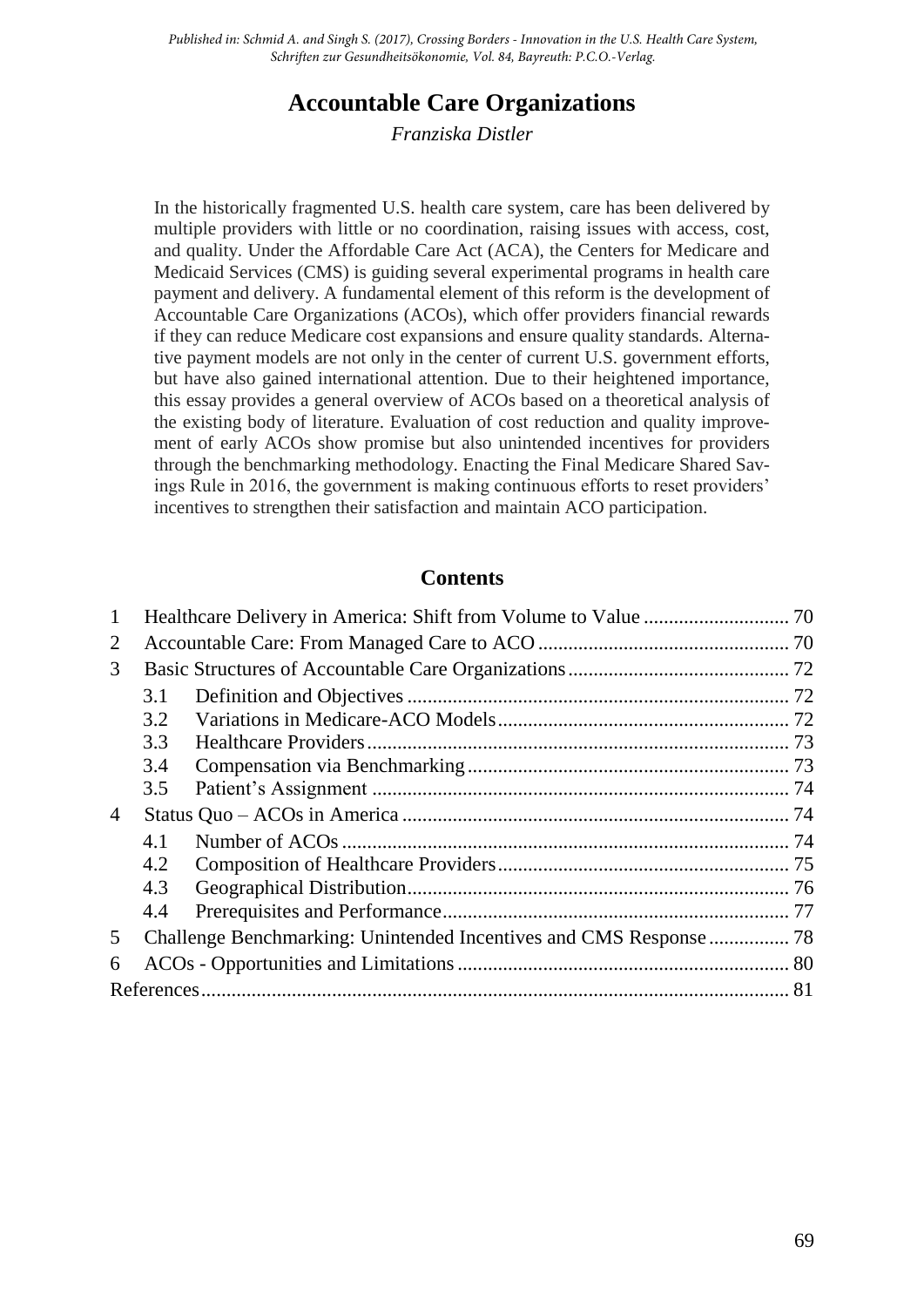*Published in: Schmid A. and Singh S. (2017), Crossing Borders - Innovation in the U.S. Health Care System, Schriften zur Gesundheitsökonomie, Vol. 84, Bayreuth: P.C.O.-Verlag.*

# **Accountable Care Organizations**

*Franziska Distler*

In the historically fragmented U.S. health care system, care has been delivered by multiple providers with little or no coordination, raising issues with access, cost, and quality. Under the Affordable Care Act (ACA), the Centers for Medicare and Medicaid Services (CMS) is guiding several experimental programs in health care payment and delivery. A fundamental element of this reform is the development of Accountable Care Organizations (ACOs), which offer providers financial rewards if they can reduce Medicare cost expansions and ensure quality standards. Alternative payment models are not only in the center of current U.S. government efforts, but have also gained international attention. Due to their heightened importance, this essay provides a general overview of ACOs based on a theoretical analysis of the existing body of literature. Evaluation of cost reduction and quality improvement of early ACOs show promise but also unintended incentives for providers through the benchmarking methodology. Enacting the Final Medicare Shared Savings Rule in 2016, the government is making continuous efforts to reset providers' incentives to strengthen their satisfaction and maintain ACO participation.

#### **Contents**

| 1              |     |  |  |
|----------------|-----|--|--|
| 2              |     |  |  |
| 3              |     |  |  |
|                | 3.1 |  |  |
|                | 3.2 |  |  |
|                | 3.3 |  |  |
|                | 3.4 |  |  |
|                | 3.5 |  |  |
| $\overline{4}$ |     |  |  |
|                | 4.1 |  |  |
|                | 4.2 |  |  |
|                | 4.3 |  |  |
|                | 4.4 |  |  |
| 5              |     |  |  |
| 6              |     |  |  |
|                |     |  |  |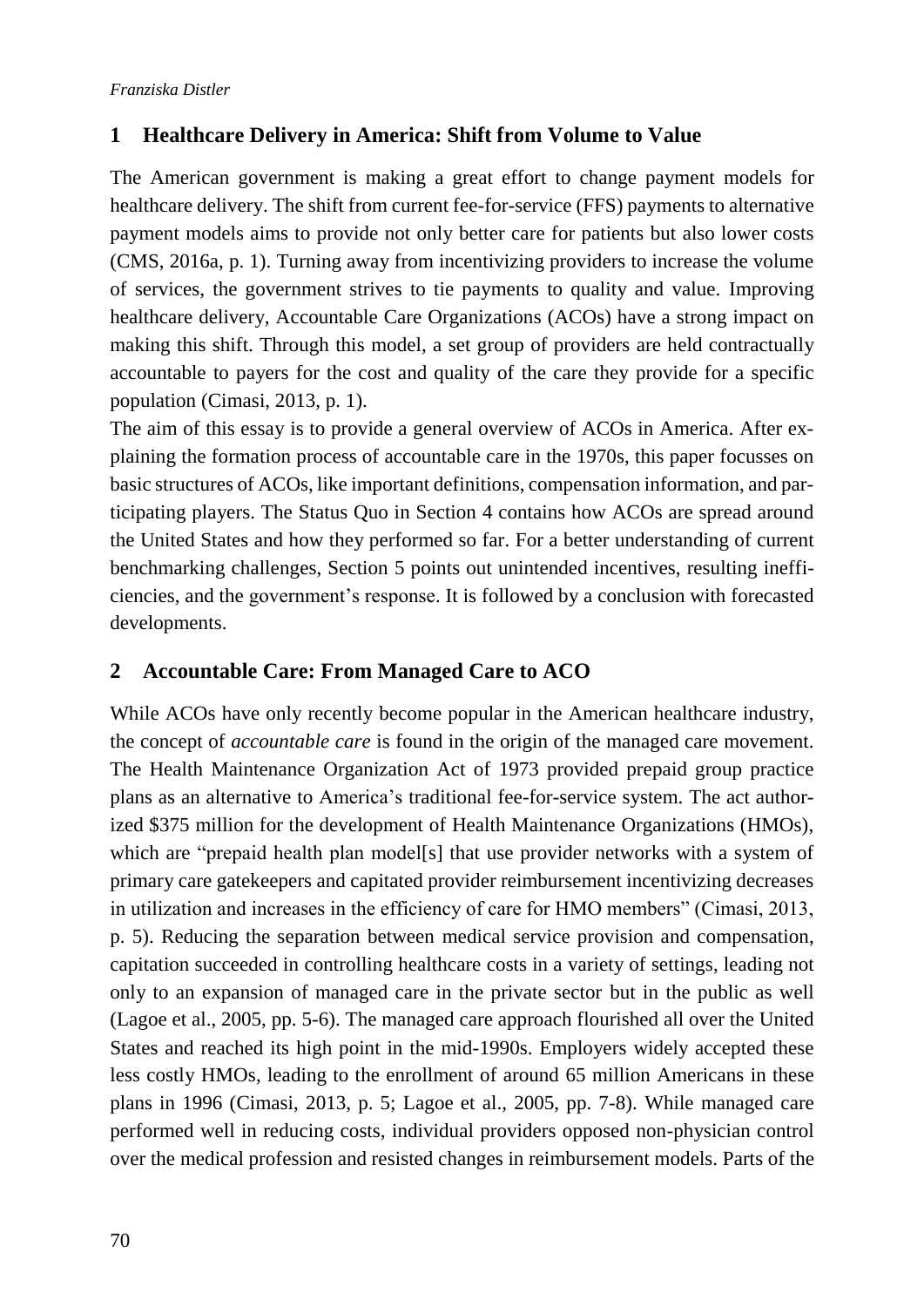## <span id="page-1-0"></span>**1 Healthcare Delivery in America: Shift from Volume to Value**

The American government is making a great effort to change payment models for healthcare delivery. The shift from current fee-for-service (FFS) payments to alternative payment models aims to provide not only better care for patients but also lower costs (CMS, 2016a, p. 1). Turning away from incentivizing providers to increase the volume of services, the government strives to tie payments to quality and value. Improving healthcare delivery, Accountable Care Organizations (ACOs) have a strong impact on making this shift. Through this model, a set group of providers are held contractually accountable to payers for the cost and quality of the care they provide for a specific population (Cimasi, 2013, p. 1).

The aim of this essay is to provide a general overview of ACOs in America. After explaining the formation process of accountable care in the 1970s, this paper focusses on basic structures of ACOs, like important definitions, compensation information, and participating players. The Status Quo in Section 4 contains how ACOs are spread around the United States and how they performed so far. For a better understanding of current benchmarking challenges, Section 5 points out unintended incentives, resulting inefficiencies, and the government's response. It is followed by a conclusion with forecasted developments.

## <span id="page-1-1"></span>**2 Accountable Care: From Managed Care to ACO**

While ACOs have only recently become popular in the American healthcare industry, the concept of *accountable care* is found in the origin of the managed care movement. The Health Maintenance Organization Act of 1973 provided prepaid group practice plans as an alternative to America's traditional fee-for-service system. The act authorized \$375 million for the development of Health Maintenance Organizations (HMOs), which are "prepaid health plan model[s] that use provider networks with a system of primary care gatekeepers and capitated provider reimbursement incentivizing decreases in utilization and increases in the efficiency of care for HMO members" (Cimasi, 2013, p. 5). Reducing the separation between medical service provision and compensation, capitation succeeded in controlling healthcare costs in a variety of settings, leading not only to an expansion of managed care in the private sector but in the public as well (Lagoe et al., 2005, pp. 5-6). The managed care approach flourished all over the United States and reached its high point in the mid-1990s. Employers widely accepted these less costly HMOs, leading to the enrollment of around 65 million Americans in these plans in 1996 (Cimasi, 2013, p. 5; Lagoe et al., 2005, pp. 7-8). While managed care performed well in reducing costs, individual providers opposed non-physician control over the medical profession and resisted changes in reimbursement models. Parts of the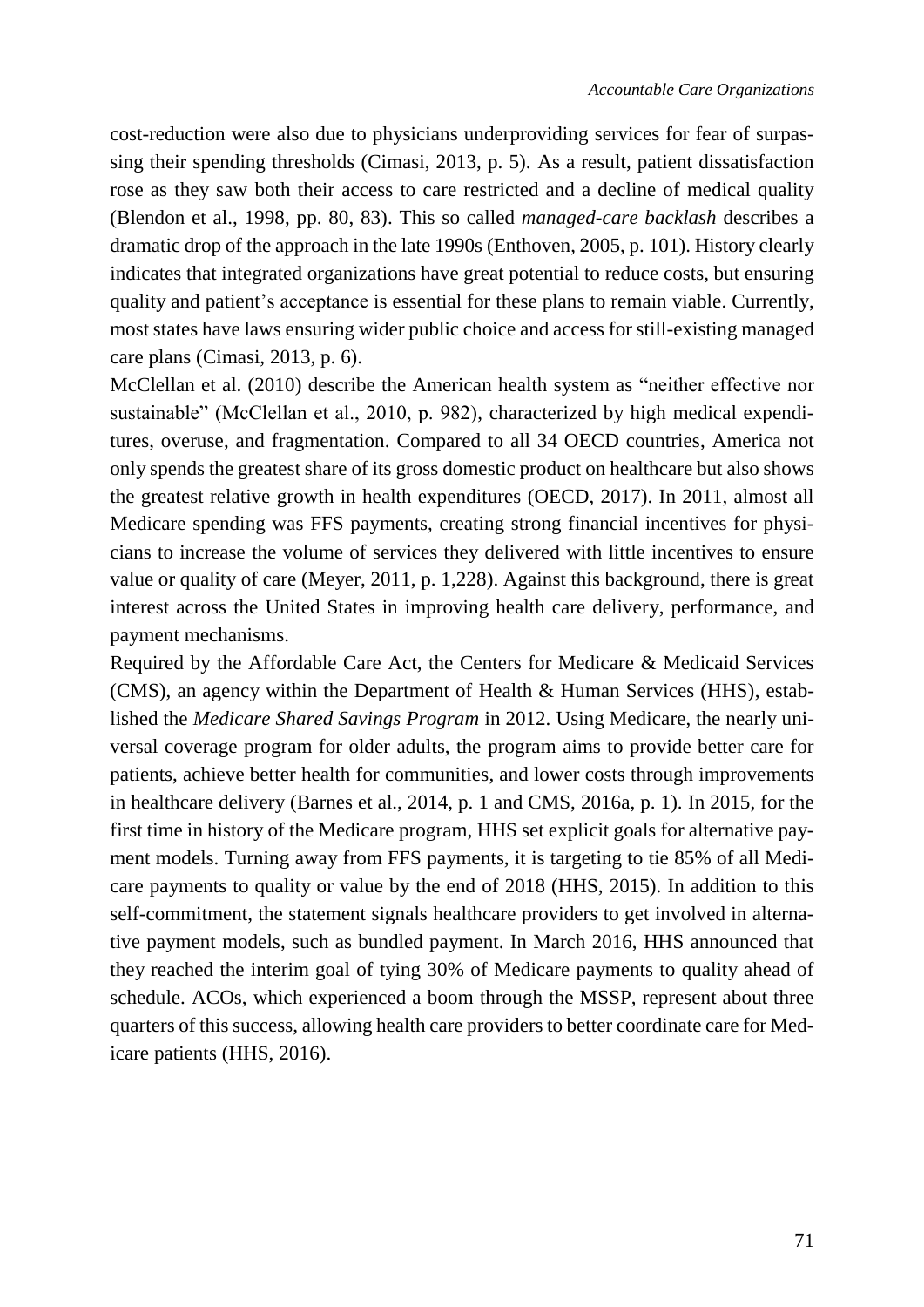cost-reduction were also due to physicians underproviding services for fear of surpassing their spending thresholds (Cimasi, 2013, p. 5). As a result, patient dissatisfaction rose as they saw both their access to care restricted and a decline of medical quality (Blendon et al., 1998, pp. 80, 83). This so called *managed-care backlash* describes a dramatic drop of the approach in the late 1990s (Enthoven, 2005, p. 101). History clearly indicates that integrated organizations have great potential to reduce costs, but ensuring quality and patient's acceptance is essential for these plans to remain viable. Currently, most states have laws ensuring wider public choice and access for still-existing managed care plans (Cimasi, 2013, p. 6).

McClellan et al. (2010) describe the American health system as "neither effective nor sustainable" (McClellan et al., 2010, p. 982), characterized by high medical expenditures, overuse, and fragmentation. Compared to all 34 OECD countries, America not only spends the greatest share of its gross domestic product on healthcare but also shows the greatest relative growth in health expenditures (OECD, 2017). In 2011, almost all Medicare spending was FFS payments, creating strong financial incentives for physicians to increase the volume of services they delivered with little incentives to ensure value or quality of care (Meyer, 2011, p. 1,228). Against this background, there is great interest across the United States in improving health care delivery, performance, and payment mechanisms.

Required by the Affordable Care Act, the Centers for Medicare & Medicaid Services (CMS), an agency within the Department of Health & Human Services (HHS), established the *Medicare Shared Savings Program* in 2012. Using Medicare, the nearly universal coverage program for older adults, the program aims to provide better care for patients, achieve better health for communities, and lower costs through improvements in healthcare delivery (Barnes et al., 2014, p. 1 and CMS, 2016a, p. 1). In 2015, for the first time in history of the Medicare program, HHS set explicit goals for alternative payment models. Turning away from FFS payments, it is targeting to tie 85% of all Medicare payments to quality or value by the end of 2018 (HHS, 2015). In addition to this self-commitment, the statement signals healthcare providers to get involved in alternative payment models, such as bundled payment. In March 2016, HHS announced that they reached the interim goal of tying 30% of Medicare payments to quality ahead of schedule. ACOs, which experienced a boom through the MSSP, represent about three quarters of this success, allowing health care providers to better coordinate care for Medicare patients (HHS, 2016).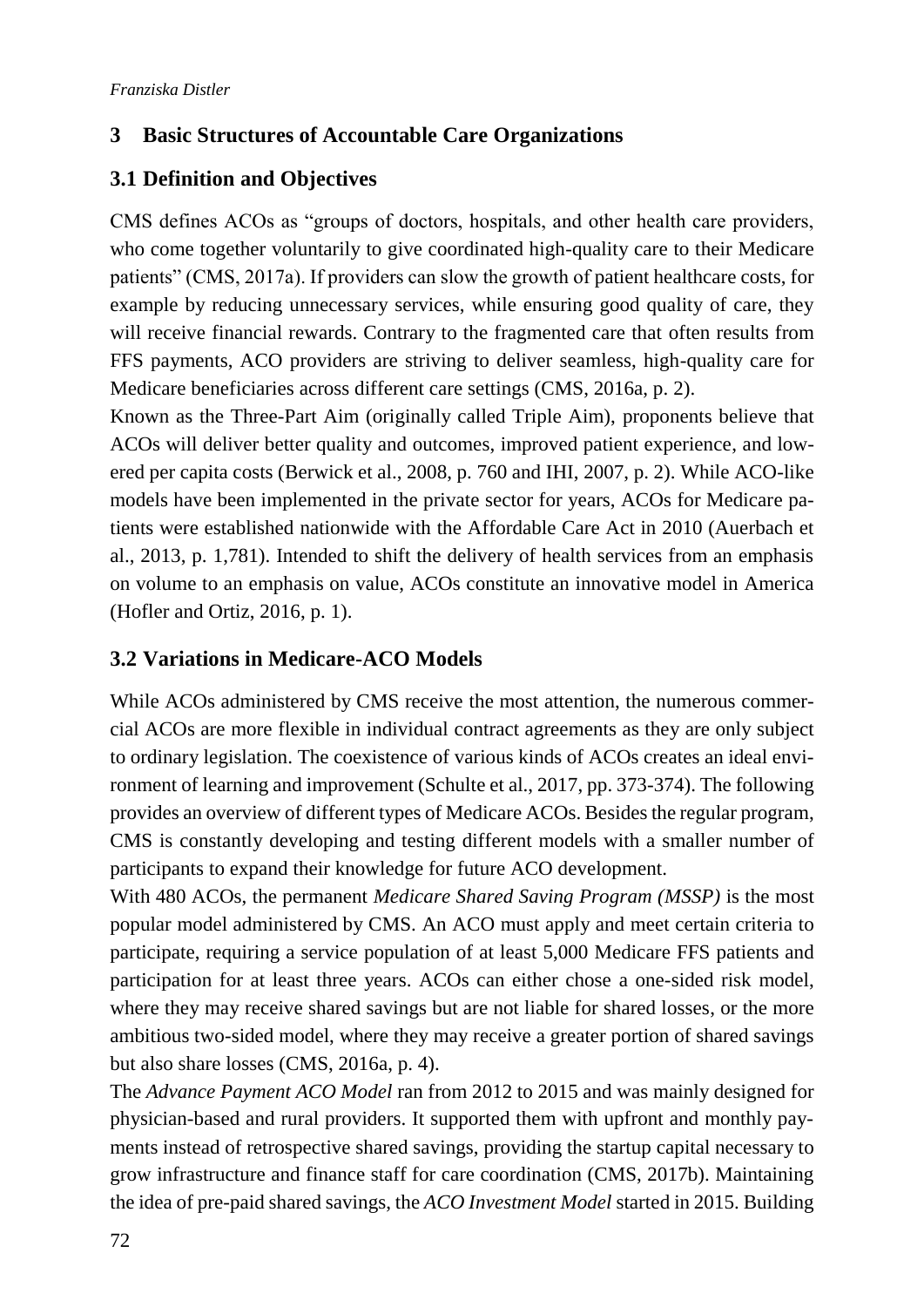# <span id="page-3-0"></span>**3 Basic Structures of Accountable Care Organizations**

## <span id="page-3-1"></span>**3.1 Definition and Objectives**

CMS defines ACOs as "groups of doctors, hospitals, and other health care providers, who come together voluntarily to give coordinated high-quality care to their Medicare patients" (CMS, 2017a). If providers can slow the growth of patient healthcare costs, for example by reducing unnecessary services, while ensuring good quality of care, they will receive financial rewards. Contrary to the fragmented care that often results from FFS payments, ACO providers are striving to deliver seamless, high-quality care for Medicare beneficiaries across different care settings (CMS, 2016a, p. 2).

Known as the Three-Part Aim (originally called Triple Aim), proponents believe that ACOs will deliver better quality and outcomes, improved patient experience, and lowered per capita costs (Berwick et al., 2008, p. 760 and IHI, 2007, p. 2). While ACO-like models have been implemented in the private sector for years, ACOs for Medicare patients were established nationwide with the Affordable Care Act in 2010 (Auerbach et al., 2013, p. 1,781). Intended to shift the delivery of health services from an emphasis on volume to an emphasis on value, ACOs constitute an innovative model in America (Hofler and Ortiz, 2016, p. 1).

### <span id="page-3-2"></span>**3.2 Variations in Medicare-ACO Models**

While ACOs administered by CMS receive the most attention, the numerous commercial ACOs are more flexible in individual contract agreements as they are only subject to ordinary legislation. The coexistence of various kinds of ACOs creates an ideal environment of learning and improvement (Schulte et al., 2017, pp. 373-374). The following provides an overview of different types of Medicare ACOs. Besides the regular program, CMS is constantly developing and testing different models with a smaller number of participants to expand their knowledge for future ACO development.

With 480 ACOs, the permanent *Medicare Shared Saving Program (MSSP)* is the most popular model administered by CMS. An ACO must apply and meet certain criteria to participate, requiring a service population of at least 5,000 Medicare FFS patients and participation for at least three years. ACOs can either chose a one-sided risk model, where they may receive shared savings but are not liable for shared losses, or the more ambitious two-sided model, where they may receive a greater portion of shared savings but also share losses (CMS, 2016a, p. 4).

The *Advance Payment ACO Model* ran from 2012 to 2015 and was mainly designed for physician-based and rural providers. It supported them with upfront and monthly payments instead of retrospective shared savings, providing the startup capital necessary to grow infrastructure and finance staff for care coordination (CMS, 2017b). Maintaining the idea of pre-paid shared savings, the *ACO Investment Model* started in 2015. Building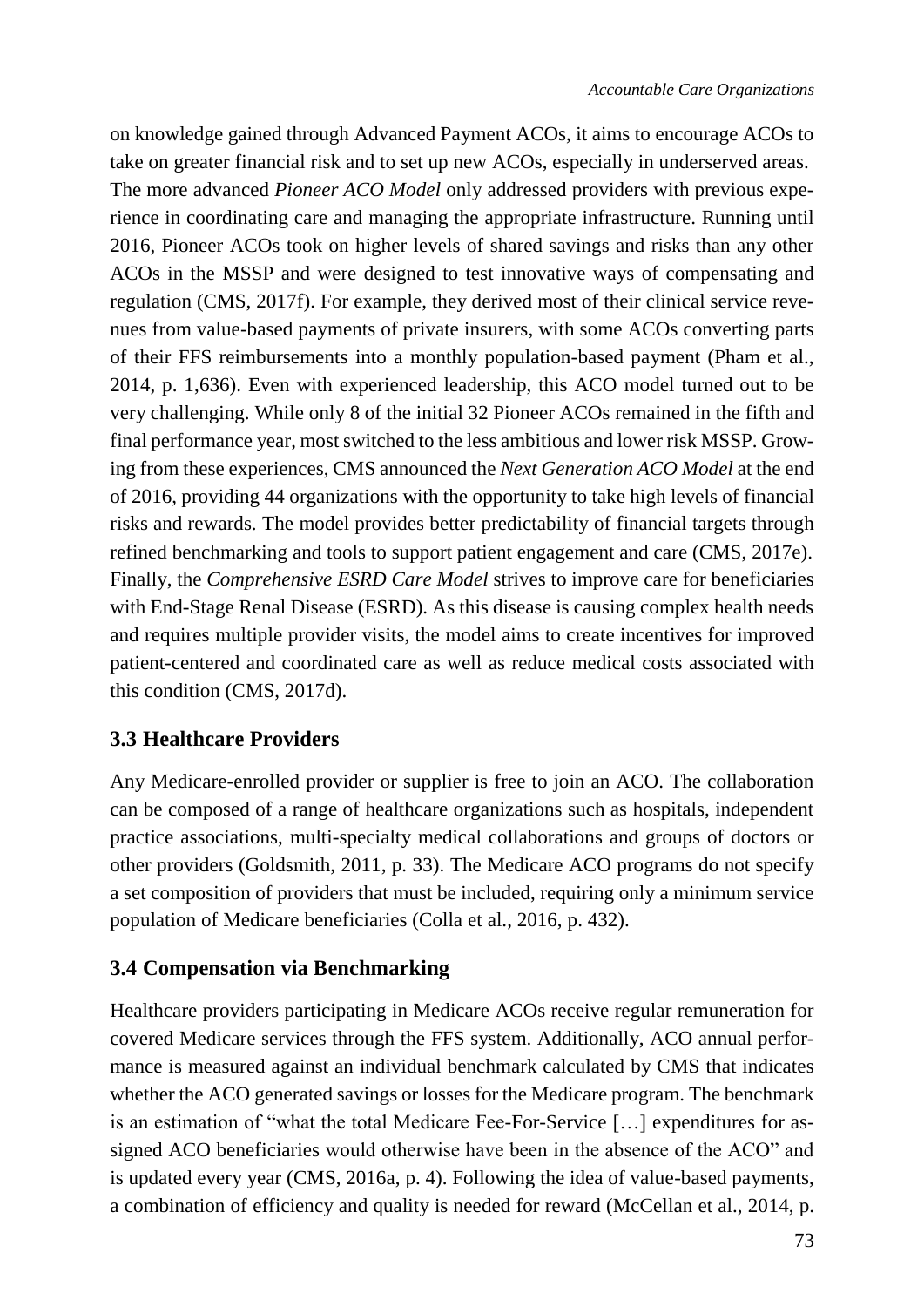on knowledge gained through Advanced Payment ACOs, it aims to encourage ACOs to take on greater financial risk and to set up new ACOs, especially in underserved areas. The more advanced *Pioneer ACO Model* only addressed providers with previous experience in coordinating care and managing the appropriate infrastructure. Running until 2016, Pioneer ACOs took on higher levels of shared savings and risks than any other ACOs in the MSSP and were designed to test innovative ways of compensating and regulation (CMS, 2017f). For example, they derived most of their clinical service revenues from value-based payments of private insurers, with some ACOs converting parts of their FFS reimbursements into a monthly population-based payment (Pham et al., 2014, p. 1,636). Even with experienced leadership, this ACO model turned out to be very challenging. While only 8 of the initial 32 Pioneer ACOs remained in the fifth and final performance year, most switched to the less ambitious and lower risk MSSP. Growing from these experiences, CMS announced the *Next Generation ACO Model* at the end of 2016, providing 44 organizations with the opportunity to take high levels of financial risks and rewards. The model provides better predictability of financial targets through refined benchmarking and tools to support patient engagement and care (CMS, 2017e). Finally, the *Comprehensive ESRD Care Model* strives to improve care for beneficiaries with End-Stage Renal Disease (ESRD). As this disease is causing complex health needs and requires multiple provider visits, the model aims to create incentives for improved patient-centered and coordinated care as well as reduce medical costs associated with this condition (CMS, 2017d).

## <span id="page-4-0"></span>**3.3 Healthcare Providers**

Any Medicare-enrolled provider or supplier is free to join an ACO. The collaboration can be composed of a range of healthcare organizations such as hospitals, independent practice associations, multi-specialty medical collaborations and groups of doctors or other providers (Goldsmith, 2011, p. 33). The Medicare ACO programs do not specify a set composition of providers that must be included, requiring only a minimum service population of Medicare beneficiaries (Colla et al., 2016, p. 432).

## <span id="page-4-1"></span>**3.4 Compensation via Benchmarking**

Healthcare providers participating in Medicare ACOs receive regular remuneration for covered Medicare services through the FFS system. Additionally, ACO annual performance is measured against an individual benchmark calculated by CMS that indicates whether the ACO generated savings or losses for the Medicare program. The benchmark is an estimation of "what the total Medicare Fee-For-Service […] expenditures for assigned ACO beneficiaries would otherwise have been in the absence of the ACO" and is updated every year (CMS, 2016a, p. 4). Following the idea of value-based payments, a combination of efficiency and quality is needed for reward (McCellan et al., 2014, p.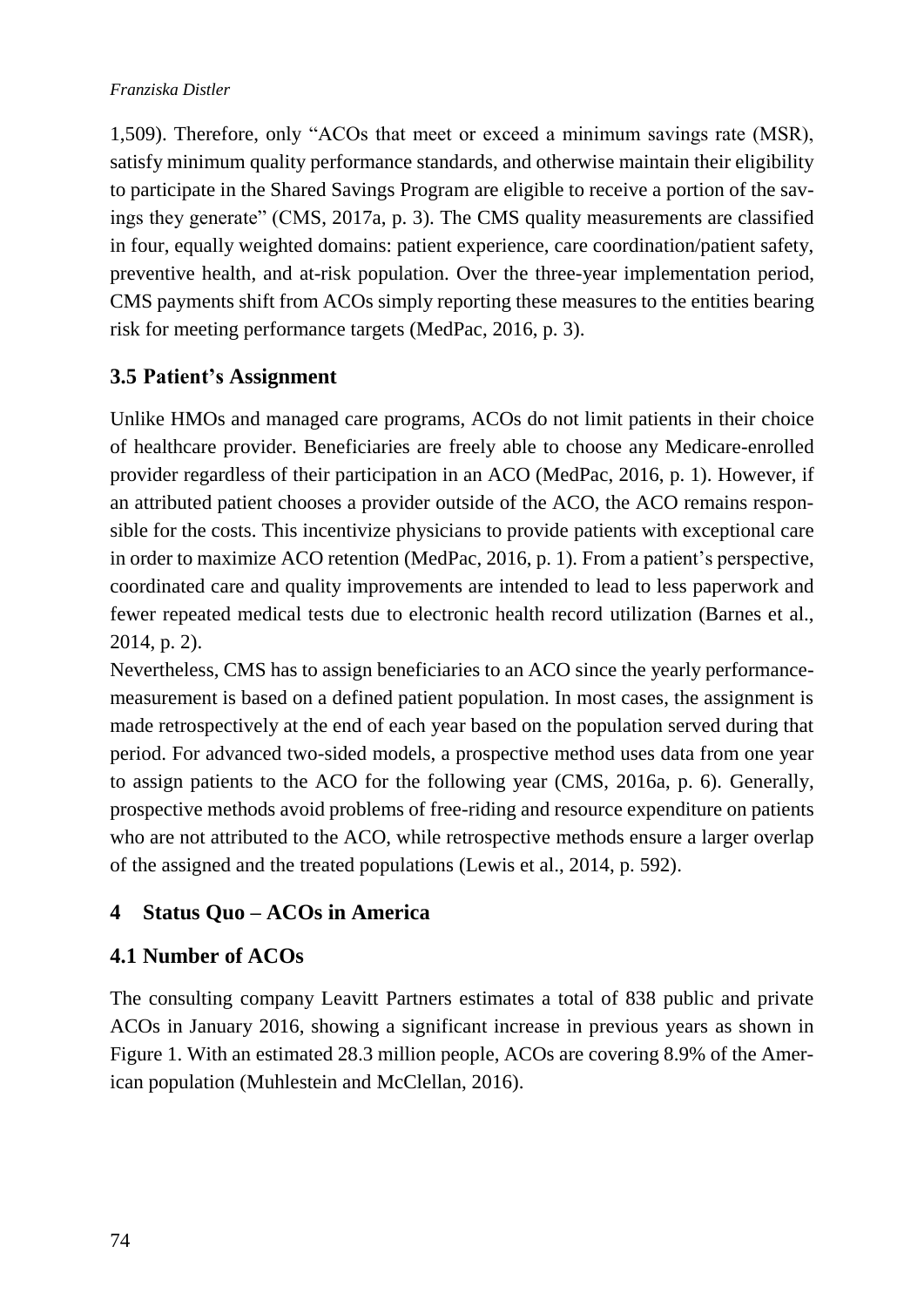1,509). Therefore, only "ACOs that meet or exceed a minimum savings rate (MSR), satisfy minimum quality performance standards, and otherwise maintain their eligibility to participate in the Shared Savings Program are eligible to receive a portion of the savings they generate" (CMS, 2017a, p. 3). The CMS quality measurements are classified in four, equally weighted domains: patient experience, care coordination/patient safety, preventive health, and at-risk population. Over the three-year implementation period, CMS payments shift from ACOs simply reporting these measures to the entities bearing risk for meeting performance targets (MedPac, 2016, p. 3).

## <span id="page-5-0"></span>**3.5 Patient's Assignment**

Unlike HMOs and managed care programs, ACOs do not limit patients in their choice of healthcare provider. Beneficiaries are freely able to choose any Medicare-enrolled provider regardless of their participation in an ACO (MedPac, 2016, p. 1). However, if an attributed patient chooses a provider outside of the ACO, the ACO remains responsible for the costs. This incentivize physicians to provide patients with exceptional care in order to maximize ACO retention (MedPac, 2016, p. 1). From a patient's perspective, coordinated care and quality improvements are intended to lead to less paperwork and fewer repeated medical tests due to electronic health record utilization (Barnes et al., 2014, p. 2).

Nevertheless, CMS has to assign beneficiaries to an ACO since the yearly performancemeasurement is based on a defined patient population. In most cases, the assignment is made retrospectively at the end of each year based on the population served during that period. For advanced two-sided models, a prospective method uses data from one year to assign patients to the ACO for the following year (CMS, 2016a, p. 6). Generally, prospective methods avoid problems of free-riding and resource expenditure on patients who are not attributed to the ACO, while retrospective methods ensure a larger overlap of the assigned and the treated populations (Lewis et al., 2014, p. 592).

# <span id="page-5-1"></span>**4 Status Quo – ACOs in America**

## <span id="page-5-2"></span>**4.1 Number of ACOs**

The consulting company Leavitt Partners estimates a total of 838 public and private ACOs in January 2016, showing a significant increase in previous years as shown in Figure 1. With an estimated 28.3 million people, ACOs are covering 8.9% of the American population (Muhlestein and McClellan, 2016).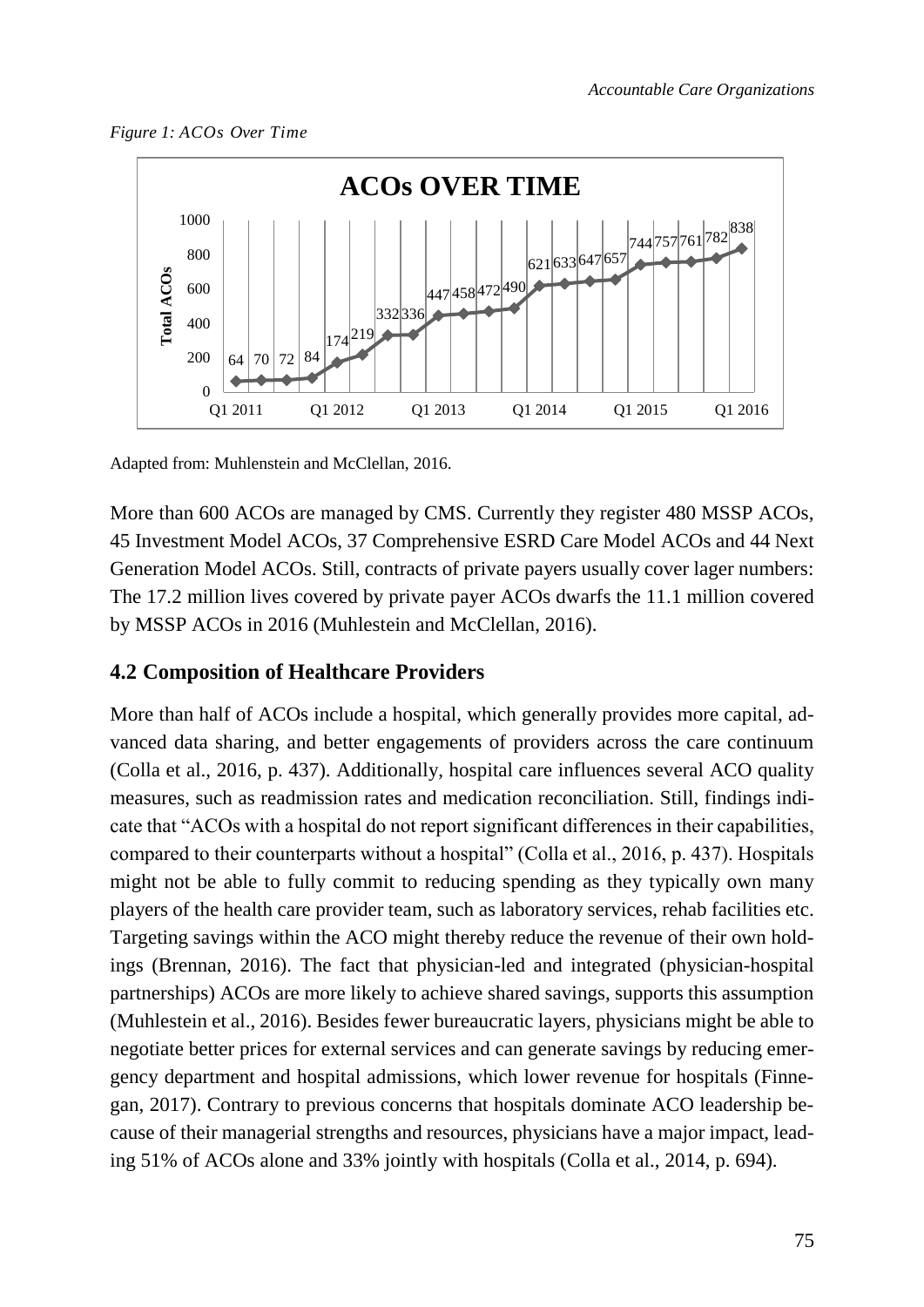



Adapted from: Muhlenstein and McClellan, 2016.

More than 600 ACOs are managed by CMS. Currently they register 480 MSSP ACOs, 45 Investment Model ACOs, 37 Comprehensive ESRD Care Model ACOs and 44 Next Generation Model ACOs. Still, contracts of private payers usually cover lager numbers: The 17.2 million lives covered by private payer ACOs dwarfs the 11.1 million covered by MSSP ACOs in 2016 (Muhlestein and McClellan, 2016).

#### <span id="page-6-0"></span>**4.2 Composition of Healthcare Providers**

More than half of ACOs include a hospital, which generally provides more capital, advanced data sharing, and better engagements of providers across the care continuum (Colla et al., 2016, p. 437). Additionally, hospital care influences several ACO quality measures, such as readmission rates and medication reconciliation. Still, findings indicate that "ACOs with a hospital do not report significant differences in their capabilities, compared to their counterparts without a hospital" (Colla et al., 2016, p. 437). Hospitals might not be able to fully commit to reducing spending as they typically own many players of the health care provider team, such as laboratory services, rehab facilities etc. Targeting savings within the ACO might thereby reduce the revenue of their own holdings (Brennan, 2016). The fact that physician-led and integrated (physician-hospital partnerships) ACOs are more likely to achieve shared savings, supports this assumption (Muhlestein et al., 2016). Besides fewer bureaucratic layers, physicians might be able to negotiate better prices for external services and can generate savings by reducing emergency department and hospital admissions, which lower revenue for hospitals (Finnegan, 2017). Contrary to previous concerns that hospitals dominate ACO leadership because of their managerial strengths and resources, physicians have a major impact, leading 51% of ACOs alone and 33% jointly with hospitals (Colla et al., 2014, p. 694).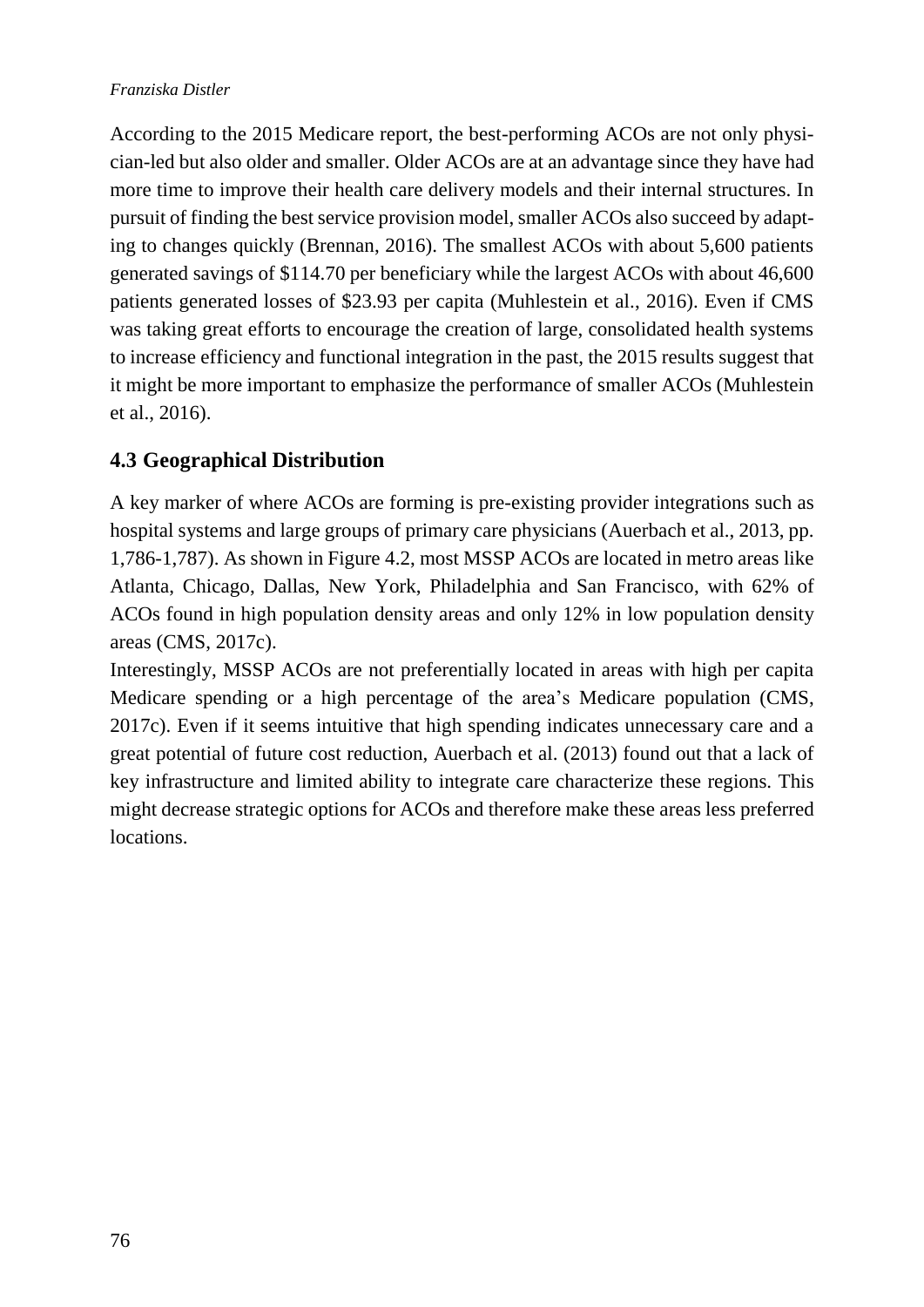According to the 2015 Medicare report, the best-performing ACOs are not only physician-led but also older and smaller. Older ACOs are at an advantage since they have had more time to improve their health care delivery models and their internal structures. In pursuit of finding the best service provision model, smaller ACOs also succeed by adapting to changes quickly (Brennan, 2016). The smallest ACOs with about 5,600 patients generated savings of \$114.70 per beneficiary while the largest ACOs with about 46,600 patients generated losses of \$23.93 per capita (Muhlestein et al., 2016). Even if CMS was taking great efforts to encourage the creation of large, consolidated health systems to increase efficiency and functional integration in the past, the 2015 results suggest that it might be more important to emphasize the performance of smaller ACOs (Muhlestein et al., 2016).

# <span id="page-7-0"></span>**4.3 Geographical Distribution**

A key marker of where ACOs are forming is pre-existing provider integrations such as hospital systems and large groups of primary care physicians (Auerbach et al., 2013, pp. 1,786-1,787). As shown in Figure 4.2, most MSSP ACOs are located in metro areas like Atlanta, Chicago, Dallas, New York, Philadelphia and San Francisco, with 62% of ACOs found in high population density areas and only 12% in low population density areas (CMS, 2017c).

Interestingly, MSSP ACOs are not preferentially located in areas with high per capita Medicare spending or a high percentage of the area's Medicare population (CMS, 2017c). Even if it seems intuitive that high spending indicates unnecessary care and a great potential of future cost reduction, Auerbach et al. (2013) found out that a lack of key infrastructure and limited ability to integrate care characterize these regions. This might decrease strategic options for ACOs and therefore make these areas less preferred locations.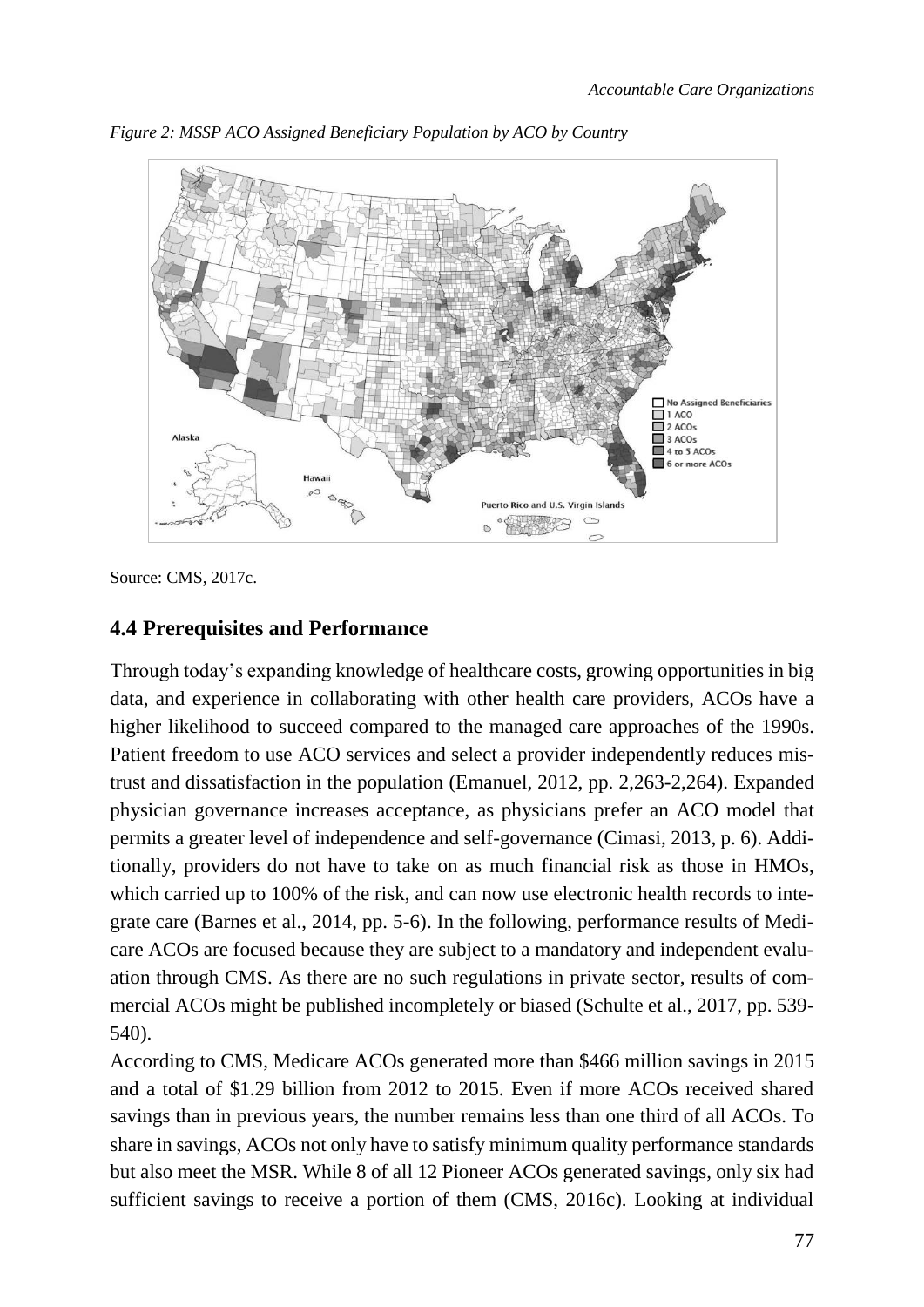

*Figure 2: MSSP ACO Assigned Beneficiary Population by ACO by Country*

Source: CMS, 2017c.

#### <span id="page-8-0"></span>**4.4 Prerequisites and Performance**

Through today's expanding knowledge of healthcare costs, growing opportunities in big data, and experience in collaborating with other health care providers, ACOs have a higher likelihood to succeed compared to the managed care approaches of the 1990s. Patient freedom to use ACO services and select a provider independently reduces mistrust and dissatisfaction in the population (Emanuel, 2012, pp. 2,263-2,264). Expanded physician governance increases acceptance, as physicians prefer an ACO model that permits a greater level of independence and self-governance (Cimasi, 2013, p. 6). Additionally, providers do not have to take on as much financial risk as those in HMOs, which carried up to 100% of the risk, and can now use electronic health records to integrate care (Barnes et al., 2014, pp. 5-6). In the following, performance results of Medicare ACOs are focused because they are subject to a mandatory and independent evaluation through CMS. As there are no such regulations in private sector, results of commercial ACOs might be published incompletely or biased (Schulte et al., 2017, pp. 539- 540).

According to CMS, Medicare ACOs generated more than \$466 million savings in 2015 and a total of \$1.29 billion from 2012 to 2015. Even if more ACOs received shared savings than in previous years, the number remains less than one third of all ACOs. To share in savings, ACOs not only have to satisfy minimum quality performance standards but also meet the MSR. While 8 of all 12 Pioneer ACOs generated savings, only six had sufficient savings to receive a portion of them (CMS, 2016c). Looking at individual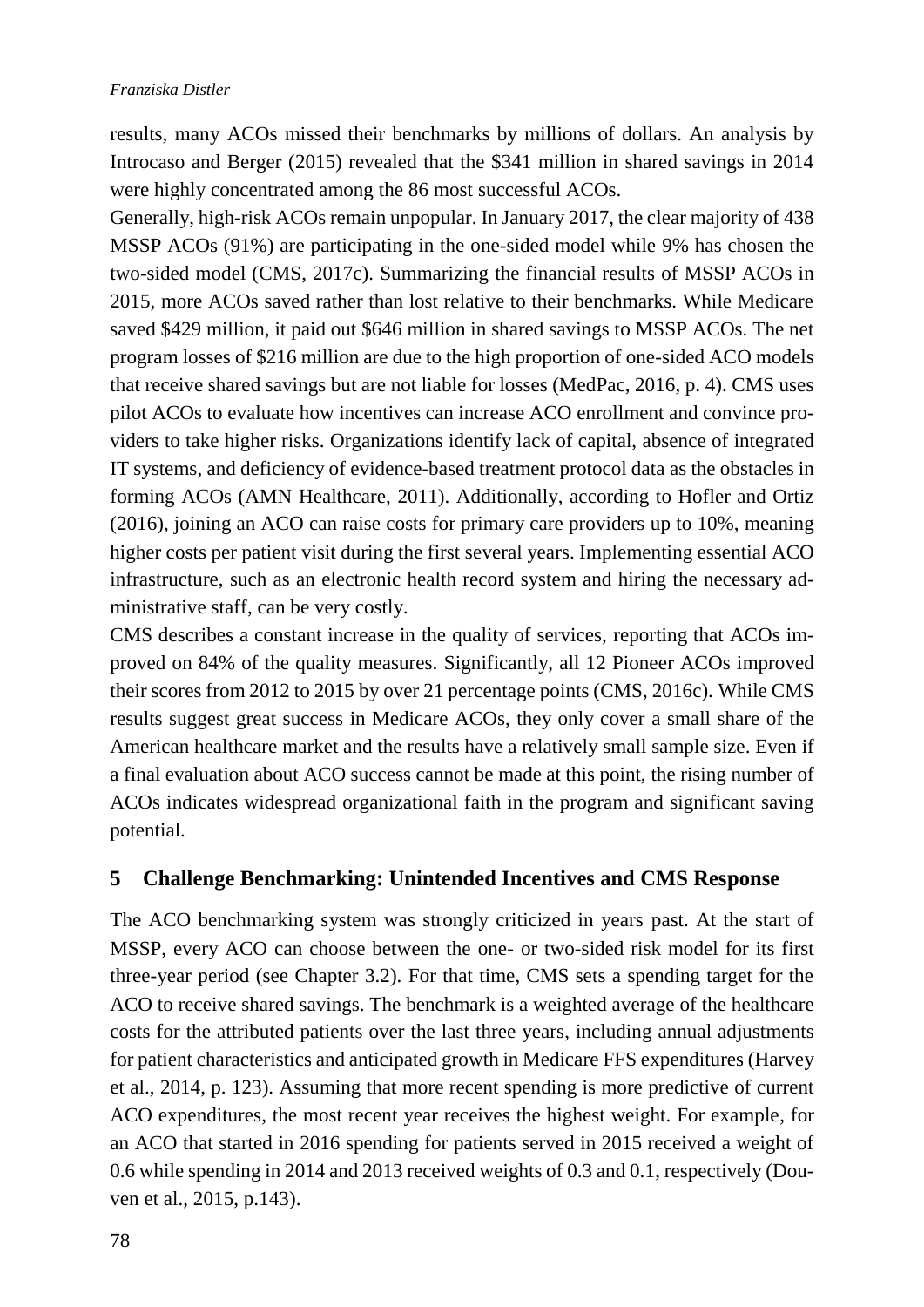results, many ACOs missed their benchmarks by millions of dollars. An analysis by Introcaso and Berger (2015) revealed that the \$341 million in shared savings in 2014 were highly concentrated among the 86 most successful ACOs.

Generally, high-risk ACOs remain unpopular. In January 2017, the clear majority of 438 MSSP ACOs (91%) are participating in the one-sided model while 9% has chosen the two-sided model (CMS, 2017c). Summarizing the financial results of MSSP ACOs in 2015, more ACOs saved rather than lost relative to their benchmarks. While Medicare saved \$429 million, it paid out \$646 million in shared savings to MSSP ACOs. The net program losses of \$216 million are due to the high proportion of one-sided ACO models that receive shared savings but are not liable for losses (MedPac, 2016, p. 4). CMS uses pilot ACOs to evaluate how incentives can increase ACO enrollment and convince providers to take higher risks. Organizations identify lack of capital, absence of integrated IT systems, and deficiency of evidence-based treatment protocol data as the obstacles in forming ACOs (AMN Healthcare, 2011). Additionally, according to Hofler and Ortiz (2016), joining an ACO can raise costs for primary care providers up to 10%, meaning higher costs per patient visit during the first several years. Implementing essential ACO infrastructure, such as an electronic health record system and hiring the necessary administrative staff, can be very costly.

CMS describes a constant increase in the quality of services, reporting that ACOs improved on 84% of the quality measures. Significantly, all 12 Pioneer ACOs improved their scores from 2012 to 2015 by over 21 percentage points (CMS, 2016c). While CMS results suggest great success in Medicare ACOs, they only cover a small share of the American healthcare market and the results have a relatively small sample size. Even if a final evaluation about ACO success cannot be made at this point, the rising number of ACOs indicates widespread organizational faith in the program and significant saving potential.

#### <span id="page-9-0"></span>**5 Challenge Benchmarking: Unintended Incentives and CMS Response**

The ACO benchmarking system was strongly criticized in years past. At the start of MSSP, every ACO can choose between the one- or two-sided risk model for its first three-year period (see Chapter 3.2). For that time, CMS sets a spending target for the ACO to receive shared savings. The benchmark is a weighted average of the healthcare costs for the attributed patients over the last three years, including annual adjustments for patient characteristics and anticipated growth in Medicare FFS expenditures (Harvey et al., 2014, p. 123). Assuming that more recent spending is more predictive of current ACO expenditures, the most recent year receives the highest weight. For example, for an ACO that started in 2016 spending for patients served in 2015 received a weight of 0.6 while spending in 2014 and 2013 received weights of 0.3 and 0.1, respectively (Douven et al., 2015, p.143).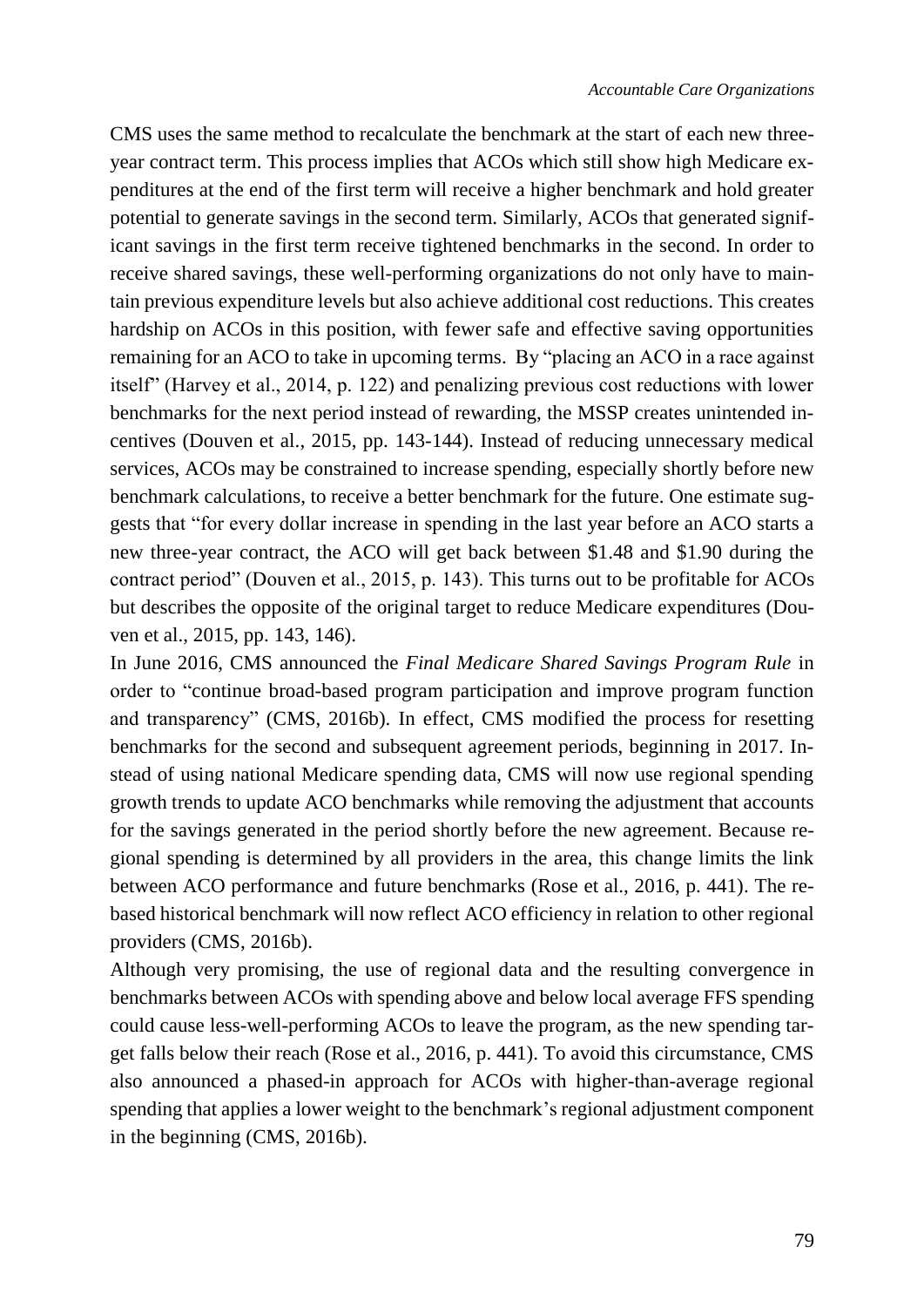CMS uses the same method to recalculate the benchmark at the start of each new threeyear contract term. This process implies that ACOs which still show high Medicare expenditures at the end of the first term will receive a higher benchmark and hold greater potential to generate savings in the second term. Similarly, ACOs that generated significant savings in the first term receive tightened benchmarks in the second. In order to receive shared savings, these well-performing organizations do not only have to maintain previous expenditure levels but also achieve additional cost reductions. This creates hardship on ACOs in this position, with fewer safe and effective saving opportunities remaining for an ACO to take in upcoming terms. By "placing an ACO in a race against itself" (Harvey et al., 2014, p. 122) and penalizing previous cost reductions with lower benchmarks for the next period instead of rewarding, the MSSP creates unintended incentives (Douven et al., 2015, pp. 143-144). Instead of reducing unnecessary medical services, ACOs may be constrained to increase spending, especially shortly before new benchmark calculations, to receive a better benchmark for the future. One estimate suggests that "for every dollar increase in spending in the last year before an ACO starts a new three-year contract, the ACO will get back between \$1.48 and \$1.90 during the contract period" (Douven et al., 2015, p. 143). This turns out to be profitable for ACOs but describes the opposite of the original target to reduce Medicare expenditures (Douven et al., 2015, pp. 143, 146).

In June 2016, CMS announced the *Final Medicare Shared Savings Program Rule* in order to "continue broad-based program participation and improve program function and transparency" (CMS, 2016b). In effect, CMS modified the process for resetting benchmarks for the second and subsequent agreement periods, beginning in 2017. Instead of using national Medicare spending data, CMS will now use regional spending growth trends to update ACO benchmarks while removing the adjustment that accounts for the savings generated in the period shortly before the new agreement. Because regional spending is determined by all providers in the area, this change limits the link between ACO performance and future benchmarks (Rose et al., 2016, p. 441). The rebased historical benchmark will now reflect ACO efficiency in relation to other regional providers (CMS, 2016b).

Although very promising, the use of regional data and the resulting convergence in benchmarks between ACOs with spending above and below local average FFS spending could cause less-well-performing ACOs to leave the program, as the new spending target falls below their reach (Rose et al., 2016, p. 441). To avoid this circumstance, CMS also announced a phased-in approach for ACOs with higher-than-average regional spending that applies a lower weight to the benchmark's regional adjustment component in the beginning (CMS, 2016b).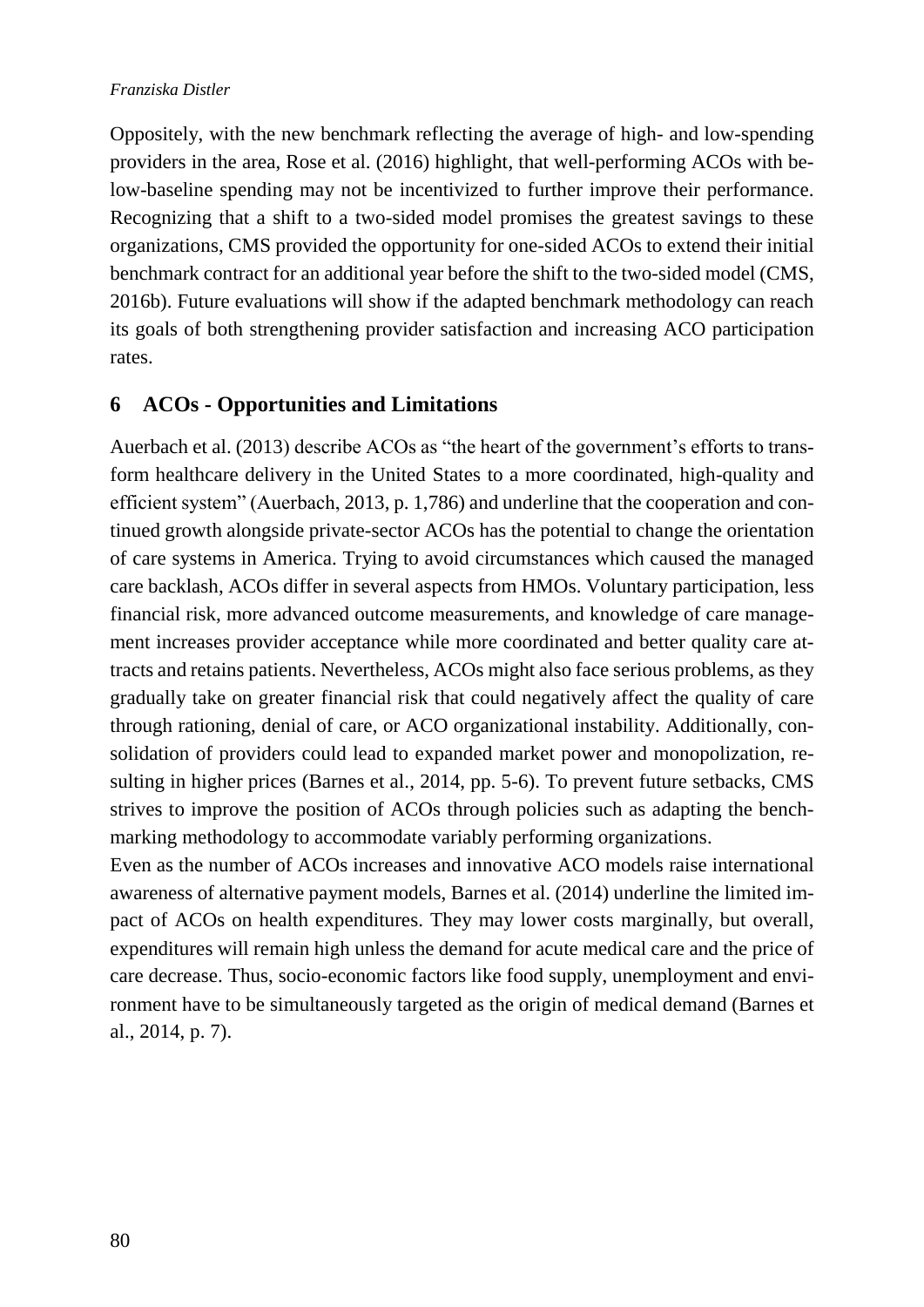Oppositely, with the new benchmark reflecting the average of high- and low-spending providers in the area, Rose et al. (2016) highlight, that well-performing ACOs with below-baseline spending may not be incentivized to further improve their performance. Recognizing that a shift to a two-sided model promises the greatest savings to these organizations, CMS provided the opportunity for one-sided ACOs to extend their initial benchmark contract for an additional year before the shift to the two-sided model (CMS, 2016b). Future evaluations will show if the adapted benchmark methodology can reach its goals of both strengthening provider satisfaction and increasing ACO participation rates.

### <span id="page-11-0"></span>**6 ACOs - Opportunities and Limitations**

Auerbach et al. (2013) describe ACOs as "the heart of the government's efforts to transform healthcare delivery in the United States to a more coordinated, high-quality and efficient system" (Auerbach, 2013, p. 1,786) and underline that the cooperation and continued growth alongside private-sector ACOs has the potential to change the orientation of care systems in America. Trying to avoid circumstances which caused the managed care backlash, ACOs differ in several aspects from HMOs. Voluntary participation, less financial risk, more advanced outcome measurements, and knowledge of care management increases provider acceptance while more coordinated and better quality care attracts and retains patients. Nevertheless, ACOs might also face serious problems, as they gradually take on greater financial risk that could negatively affect the quality of care through rationing, denial of care, or ACO organizational instability. Additionally, consolidation of providers could lead to expanded market power and monopolization, resulting in higher prices (Barnes et al., 2014, pp. 5-6). To prevent future setbacks, CMS strives to improve the position of ACOs through policies such as adapting the benchmarking methodology to accommodate variably performing organizations.

Even as the number of ACOs increases and innovative ACO models raise international awareness of alternative payment models, Barnes et al. (2014) underline the limited impact of ACOs on health expenditures. They may lower costs marginally, but overall, expenditures will remain high unless the demand for acute medical care and the price of care decrease. Thus, socio-economic factors like food supply, unemployment and environment have to be simultaneously targeted as the origin of medical demand (Barnes et al., 2014, p. 7).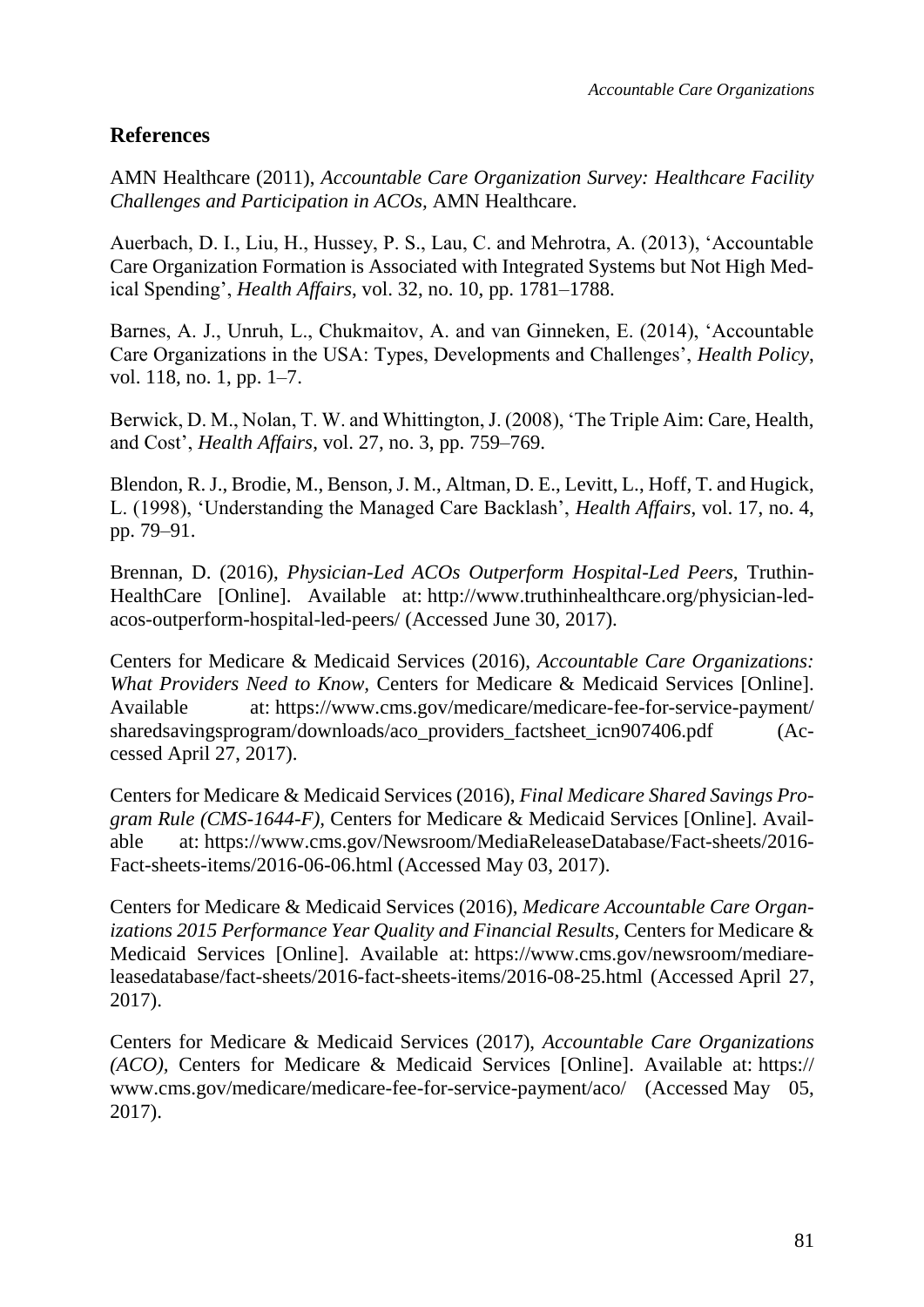### <span id="page-12-0"></span>**References**

AMN Healthcare (2011), *Accountable Care Organization Survey: Healthcare Facility Challenges and Participation in ACOs,* AMN Healthcare.

Auerbach, D. I., Liu, H., Hussey, P. S., Lau, C. and Mehrotra, A. (2013), 'Accountable Care Organization Formation is Associated with Integrated Systems but Not High Medical Spending', *Health Affairs*, vol. 32, no. 10, pp. 1781–1788.

Barnes, A. J., Unruh, L., Chukmaitov, A. and van Ginneken, E. (2014), 'Accountable Care Organizations in the USA: Types, Developments and Challenges', *Health Policy*, vol. 118, no. 1, pp. 1–7.

Berwick, D. M., Nolan, T. W. and Whittington, J. (2008), 'The Triple Aim: Care, Health, and Cost', *Health Affairs*, vol. 27, no. 3, pp. 759–769.

Blendon, R. J., Brodie, M., Benson, J. M., Altman, D. E., Levitt, L., Hoff, T. and Hugick, L. (1998), 'Understanding the Managed Care Backlash', *Health Affairs*, vol. 17, no. 4, pp. 79–91.

Brennan, D. (2016), *Physician-Led ACOs Outperform Hospital-Led Peers,* Truthin-HealthCare [Online]. Available at: http://www.truthinhealthcare.org/physician-ledacos-outperform-hospital-led-peers/ (Accessed June 30, 2017).

Centers for Medicare & Medicaid Services (2016), *Accountable Care Organizations: What Providers Need to Know,* Centers for Medicare & Medicaid Services [Online]. Available at: https://www.cms.gov/medicare/medicare-fee-for-service-payment/ sharedsavingsprogram/downloads/aco\_providers\_factsheet\_icn907406.pdf (Accessed April 27, 2017).

Centers for Medicare & Medicaid Services (2016), *Final Medicare Shared Savings Program Rule (CMS-1644-F),* Centers for Medicare & Medicaid Services [Online]. Available at: https://www.cms.gov/Newsroom/MediaReleaseDatabase/Fact-sheets/2016- Fact-sheets-items/2016-06-06.html (Accessed May 03, 2017).

Centers for Medicare & Medicaid Services (2016), *Medicare Accountable Care Organizations 2015 Performance Year Ouality and Financial Results, Centers for Medicare &* Medicaid Services [Online]. Available at: https://www.cms.gov/newsroom/mediareleasedatabase/fact-sheets/2016-fact-sheets-items/2016-08-25.html (Accessed April 27, 2017).

Centers for Medicare & Medicaid Services (2017), *Accountable Care Organizations (ACO),* Centers for Medicare & Medicaid Services [Online]. Available at: https:// www.cms.gov/medicare/medicare-fee-for-service-payment/aco/ (Accessed May 05, 2017).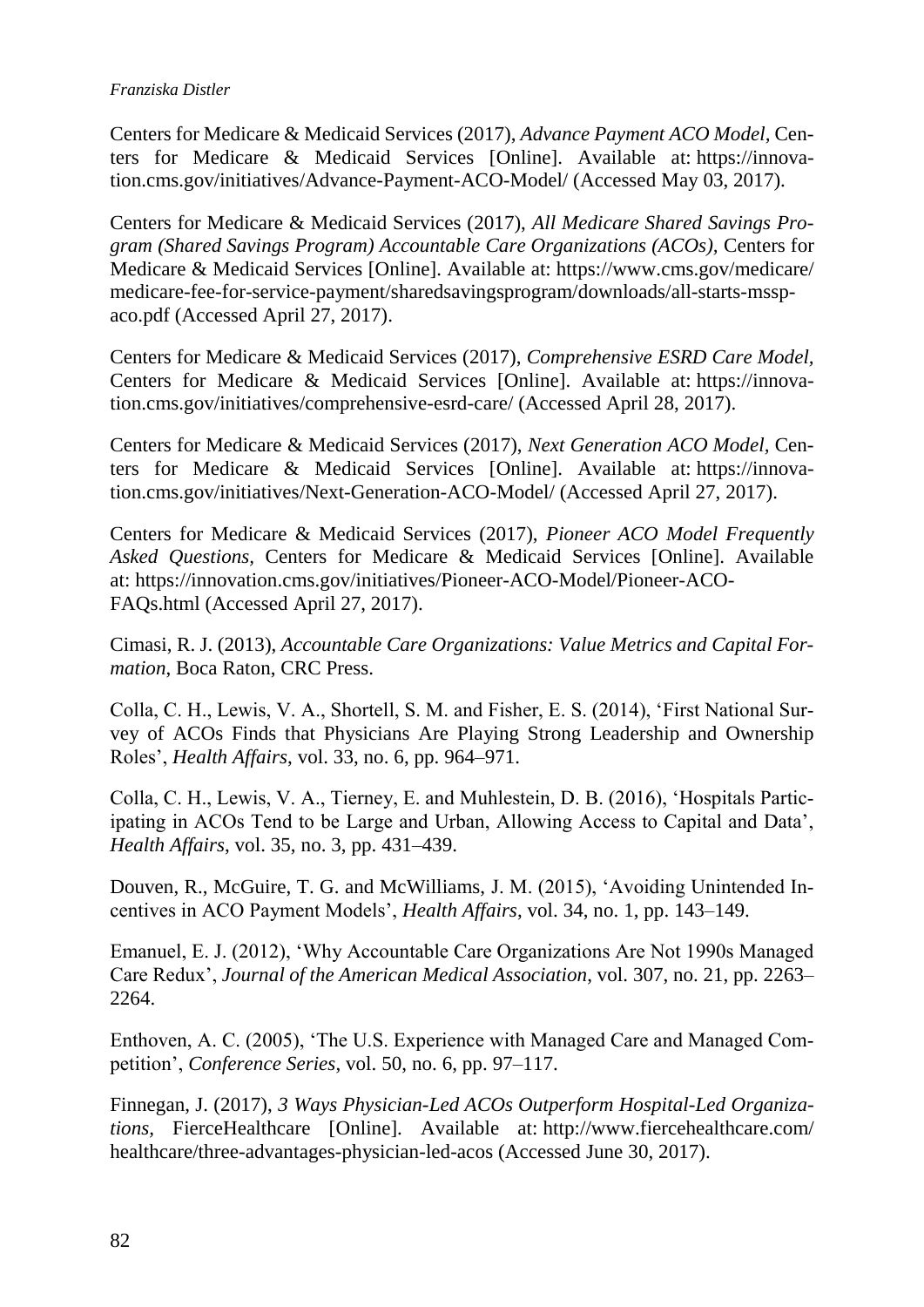Centers for Medicare & Medicaid Services (2017), *Advance Payment ACO Model,* Centers for Medicare & Medicaid Services [Online]. Available at: https://innovation.cms.gov/initiatives/Advance-Payment-ACO-Model/ (Accessed May 03, 2017).

Centers for Medicare & Medicaid Services (2017), *All Medicare Shared Savings Program (Shared Savings Program) Accountable Care Organizations (ACOs),* Centers for Medicare & Medicaid Services [Online]. Available at: https://www.cms.gov/medicare/ medicare-fee-for-service-payment/sharedsavingsprogram/downloads/all-starts-msspaco.pdf (Accessed April 27, 2017).

Centers for Medicare & Medicaid Services (2017), *Comprehensive ESRD Care Model,*  Centers for Medicare & Medicaid Services [Online]. Available at: https://innovation.cms.gov/initiatives/comprehensive-esrd-care/ (Accessed April 28, 2017).

Centers for Medicare & Medicaid Services (2017), *Next Generation ACO Model,* Centers for Medicare & Medicaid Services [Online]. Available at: https://innovation.cms.gov/initiatives/Next-Generation-ACO-Model/ (Accessed April 27, 2017).

Centers for Medicare & Medicaid Services (2017), *Pioneer ACO Model Frequently Asked Questions,* Centers for Medicare & Medicaid Services [Online]. Available at: https://innovation.cms.gov/initiatives/Pioneer-ACO-Model/Pioneer-ACO-FAQs.html (Accessed April 27, 2017).

Cimasi, R. J. (2013), *Accountable Care Organizations: Value Metrics and Capital Formation*, Boca Raton, CRC Press.

Colla, C. H., Lewis, V. A., Shortell, S. M. and Fisher, E. S. (2014), 'First National Survey of ACOs Finds that Physicians Are Playing Strong Leadership and Ownership Roles', *Health Affairs*, vol. 33, no. 6, pp. 964–971.

Colla, C. H., Lewis, V. A., Tierney, E. and Muhlestein, D. B. (2016), 'Hospitals Participating in ACOs Tend to be Large and Urban, Allowing Access to Capital and Data', *Health Affairs*, vol. 35, no. 3, pp. 431–439.

Douven, R., McGuire, T. G. and McWilliams, J. M. (2015), 'Avoiding Unintended Incentives in ACO Payment Models', *Health Affairs*, vol. 34, no. 1, pp. 143–149.

Emanuel, E. J. (2012), 'Why Accountable Care Organizations Are Not 1990s Managed Care Redux', *Journal of the American Medical Association*, vol. 307, no. 21, pp. 2263– 2264.

Enthoven, A. C. (2005), 'The U.S. Experience with Managed Care and Managed Competition', *Conference Series*, vol. 50, no. 6, pp. 97–117.

Finnegan, J. (2017), *3 Ways Physician-Led ACOs Outperform Hospital-Led Organizations,* FierceHealthcare [Online]. Available at: http://www.fiercehealthcare.com/ healthcare/three-advantages-physician-led-acos (Accessed June 30, 2017).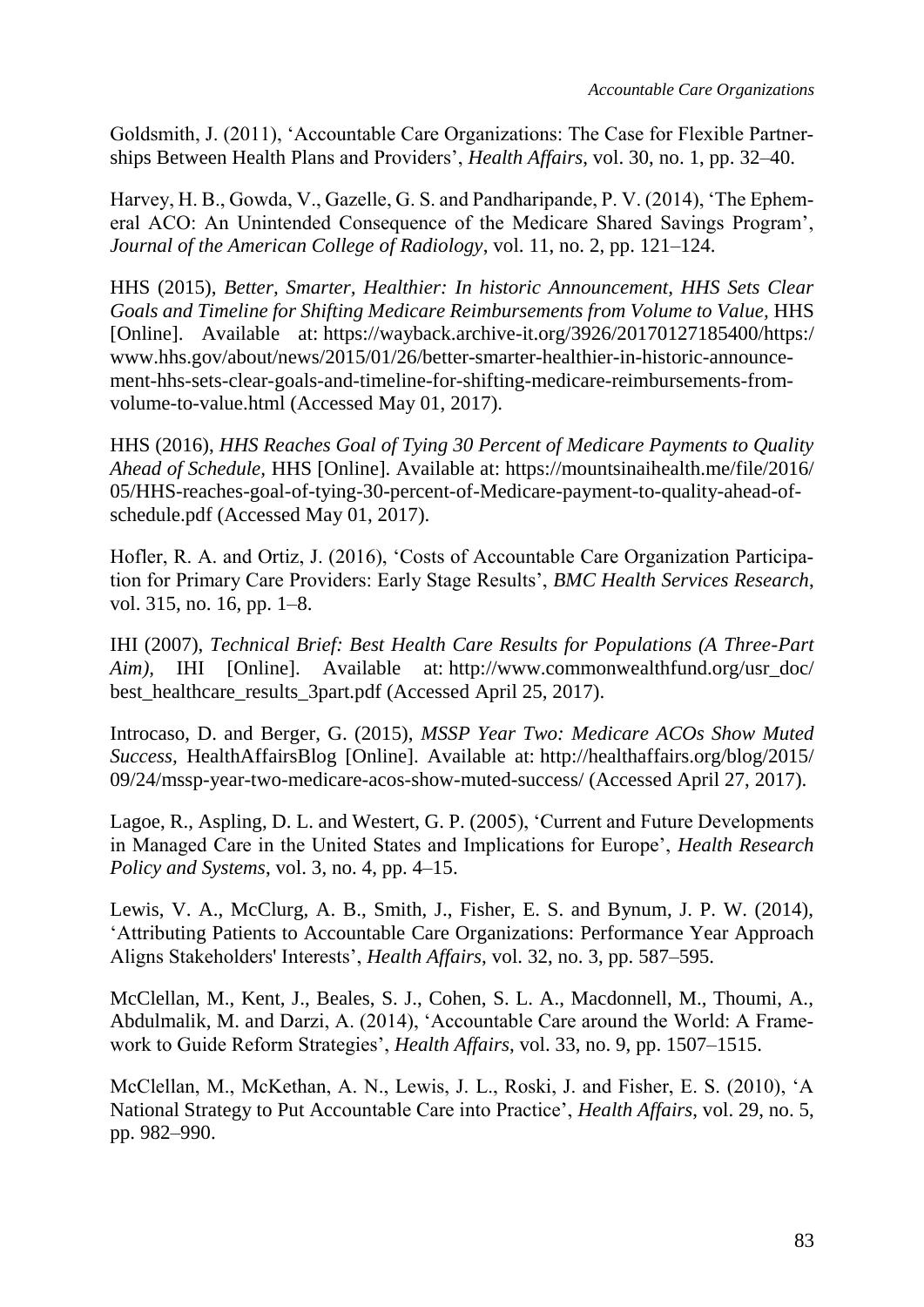Goldsmith, J. (2011), 'Accountable Care Organizations: The Case for Flexible Partnerships Between Health Plans and Providers', *Health Affairs*, vol. 30, no. 1, pp. 32–40.

Harvey, H. B., Gowda, V., Gazelle, G. S. and Pandharipande, P. V. (2014), 'The Ephemeral ACO: An Unintended Consequence of the Medicare Shared Savings Program', *Journal of the American College of Radiology*, vol. 11, no. 2, pp. 121–124.

HHS (2015), *Better, Smarter, Healthier: In historic Announcement, HHS Sets Clear Goals and Timeline for Shifting Medicare Reimbursements from Volume to Value,* HHS [Online]. Available at: https://wayback.archive-it.org/3926/20170127185400/https:/ www.hhs.gov/about/news/2015/01/26/better-smarter-healthier-in-historic-announcement-hhs-sets-clear-goals-and-timeline-for-shifting-medicare-reimbursements-fromvolume-to-value.html (Accessed May 01, 2017).

HHS (2016), *HHS Reaches Goal of Tying 30 Percent of Medicare Payments to Quality Ahead of Schedule,* HHS [Online]. Available at: https://mountsinaihealth.me/file/2016/ 05/HHS-reaches-goal-of-tying-30-percent-of-Medicare-payment-to-quality-ahead-ofschedule.pdf (Accessed May 01, 2017).

Hofler, R. A. and Ortiz, J. (2016), 'Costs of Accountable Care Organization Participation for Primary Care Providers: Early Stage Results', *BMC Health Services Research*, vol. 315, no. 16, pp. 1–8.

IHI (2007), *Technical Brief: Best Health Care Results for Populations (A Three-Part Aim*), IHI [Online]. Available at: http://www.commonwealthfund.org/usr\_doc/ best\_healthcare\_results\_3part.pdf (Accessed April 25, 2017).

Introcaso, D. and Berger, G. (2015), *MSSP Year Two: Medicare ACOs Show Muted Success,* HealthAffairsBlog [Online]. Available at: http://healthaffairs.org/blog/2015/ 09/24/mssp-year-two-medicare-acos-show-muted-success/ (Accessed April 27, 2017).

Lagoe, R., Aspling, D. L. and Westert, G. P. (2005), 'Current and Future Developments in Managed Care in the United States and Implications for Europe', *Health Research Policy and Systems*, vol. 3, no. 4, pp. 4–15.

Lewis, V. A., McClurg, A. B., Smith, J., Fisher, E. S. and Bynum, J. P. W. (2014), 'Attributing Patients to Accountable Care Organizations: Performance Year Approach Aligns Stakeholders' Interests', *Health Affairs*, vol. 32, no. 3, pp. 587–595.

McClellan, M., Kent, J., Beales, S. J., Cohen, S. L. A., Macdonnell, M., Thoumi, A., Abdulmalik, M. and Darzi, A. (2014), 'Accountable Care around the World: A Framework to Guide Reform Strategies', *Health Affairs*, vol. 33, no. 9, pp. 1507–1515.

McClellan, M., McKethan, A. N., Lewis, J. L., Roski, J. and Fisher, E. S. (2010), 'A National Strategy to Put Accountable Care into Practice', *Health Affairs*, vol. 29, no. 5, pp. 982–990.